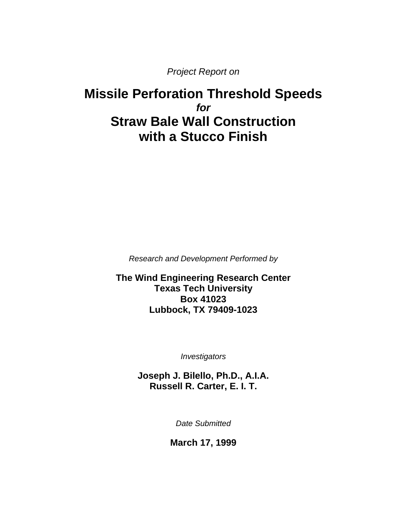*Project Report on* 

# **Missile Perforation Threshold Speeds**  *for*  **Straw Bale Wall Construction with a Stucco Finish**

*Research and Development Performed by* 

**The Wind Engineering Research Center Texas Tech University Box 41023 Lubbock, TX 79409-1023**

*Investigators* 

**Joseph J. Bilello, Ph.D., A.I.A. Russell R. Carter, E. I. T.**

*Date Submitted* 

**March 17, 1999**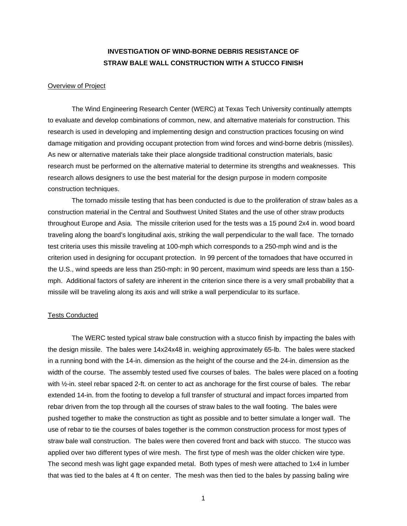## **INVESTIGATION OF WIND-BORNE DEBRIS RESISTANCE OF STRAW BALE WALL CONSTRUCTION WITH A STUCCO FINISH**

#### Overview of Project

The Wind Engineering Research Center (WERC) at Texas Tech University continually attempts to evaluate and develop combinations of common, new, and alternative materials for construction. This research is used in developing and implementing design and construction practices focusing on wind damage mitigation and providing occupant protection from wind forces and wind-borne debris (missiles). As new or alternative materials take their place alongside traditional construction materials, basic research must be performed on the alternative material to determine its strengths and weaknesses. This research allows designers to use the best material for the design purpose in modern composite construction techniques.

The tornado missile testing that has been conducted is due to the proliferation of straw bales as a construction material in the Central and Southwest United States and the use of other straw products throughout Europe and Asia. The missile criterion used for the tests was a 15 pound 2x4 in. wood board traveling along the board's longitudinal axis, striking the wall perpendicular to the wall face. The tornado test criteria uses this missile traveling at 100-mph which corresponds to a 250-mph wind and is the criterion used in designing for occupant protection. In 99 percent of the tornadoes that have occurred in the U.S., wind speeds are less than 250-mph: in 90 percent, maximum wind speeds are less than a 150 mph. Additional factors of safety are inherent in the criterion since there is a very small probability that a missile will be traveling along its axis and will strike a wall perpendicular to its surface.

#### Tests Conducted

The WERC tested typical straw bale construction with a stucco finish by impacting the bales with the design missile. The bales were 14x24x48 in. weighing approximately 65-lb. The bales were stacked in a running bond with the 14-in. dimension as the height of the course and the 24-in. dimension as the width of the course. The assembly tested used five courses of bales. The bales were placed on a footing with  $\frac{1}{2}$ -in. steel rebar spaced 2-ft. on center to act as anchorage for the first course of bales. The rebar extended 14-in. from the footing to develop a full transfer of structural and impact forces imparted from rebar driven from the top through all the courses of straw bales to the wall footing. The bales were pushed together to make the construction as tight as possible and to better simulate a longer wall. The use of rebar to tie the courses of bales together is the common construction process for most types of straw bale wall construction. The bales were then covered front and back with stucco. The stucco was applied over two different types of wire mesh. The first type of mesh was the older chicken wire type. The second mesh was light gage expanded metal. Both types of mesh were attached to 1x4 in lumber that was tied to the bales at 4 ft on center. The mesh was then tied to the bales by passing baling wire

1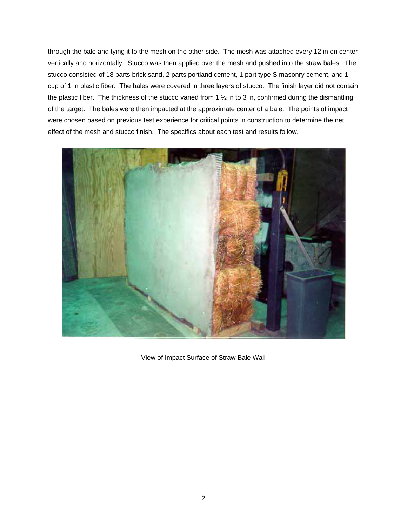through the bale and tying it to the mesh on the other side. The mesh was attached every 12 in on center vertically and horizontally. Stucco was then applied over the mesh and pushed into the straw bales. The stucco consisted of 18 parts brick sand, 2 parts portland cement, 1 part type S masonry cement, and 1 cup of 1 in plastic fiber. The bales were covered in three layers of stucco. The finish layer did not contain the plastic fiber. The thickness of the stucco varied from 1  $\frac{1}{2}$  in to 3 in, confirmed during the dismantling of the target. The bales were then impacted at the approximate center of a bale. The points of impact were chosen based on previous test experience for critical points in construction to determine the net effect of the mesh and stucco finish. The specifics about each test and results follow.



View of Impact Surface of Straw Bale Wall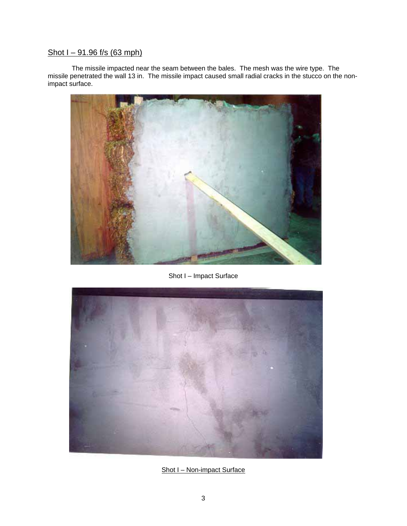# Shot I – 91.96 f/s (63 mph)

The missile impacted near the seam between the bales. The mesh was the wire type. The missile penetrated the wall 13 in. The missile impact caused small radial cracks in the stucco on the nonimpact surface.



Shot I – Impact Surface



Shot I – Non-impact Surface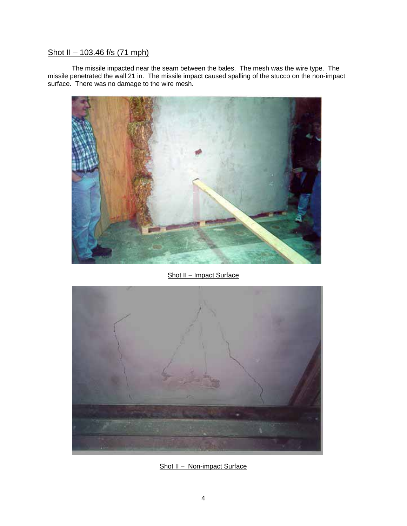# Shot II – 103.46 f/s (71 mph)

The missile impacted near the seam between the bales. The mesh was the wire type. The missile penetrated the wall 21 in. The missile impact caused spalling of the stucco on the non-impact surface. There was no damage to the wire mesh.



Shot II – Impact Surface



Shot II - Non-impact Surface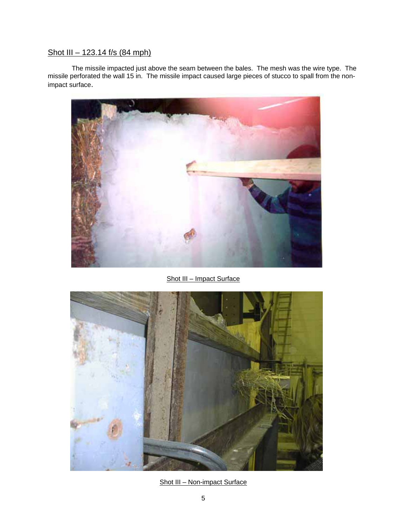# Shot III – 123.14 f/s (84 mph)

The missile impacted just above the seam between the bales. The mesh was the wire type. The missile perforated the wall 15 in. The missile impact caused large pieces of stucco to spall from the nonimpact surface.



Shot III – Impact Surface



Shot III - Non-impact Surface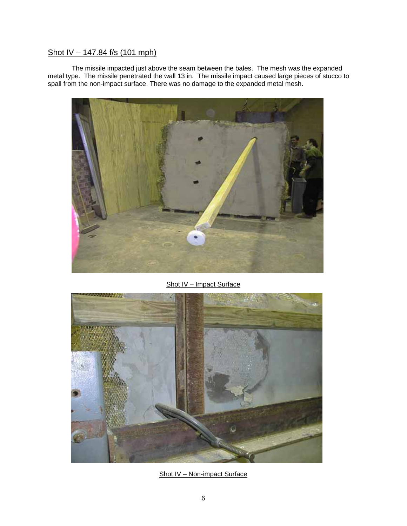## Shot IV – 147.84 f/s (101 mph)

The missile impacted just above the seam between the bales. The mesh was the expanded metal type. The missile penetrated the wall 13 in. The missile impact caused large pieces of stucco to spall from the non-impact surface. There was no damage to the expanded metal mesh.



Shot IV – Impact Surface



Shot IV – Non-impact Surface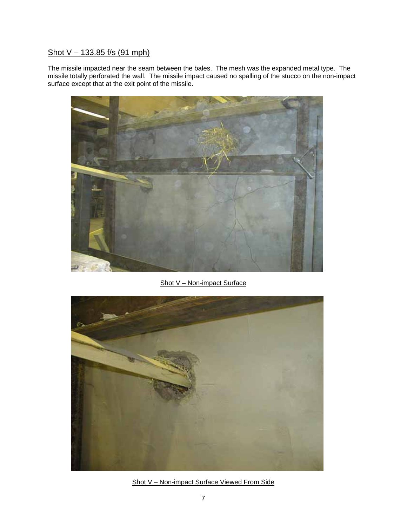## Shot V – 133.85 f/s (91 mph)

The missile impacted near the seam between the bales. The mesh was the expanded metal type. The missile totally perforated the wall. The missile impact caused no spalling of the stucco on the non-impact surface except that at the exit point of the missile.



Shot V – Non-impact Surface



Shot V – Non-impact Surface Viewed From Side